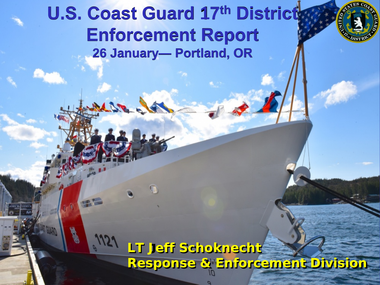#### **U.S. Coast Guard 17th District Enforcement Report 26 January— Portland, OR**



#### **LT Jeff Schoknecht Response & Enforcement Division**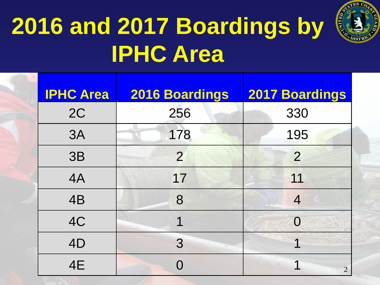

# **2016 and 2017 Boardings by IPHC Area**

| <b>IPHC Area</b> | 2016 Boardings | <b>2017 Boardings</b> |
|------------------|----------------|-----------------------|
| 2C               | 256            | 330                   |
| 3A               | 178            | 195                   |
| 3B               | $\overline{2}$ | $\overline{2}$        |
| 4A               | 17             | 11                    |
| 4B               | 8              | 4                     |
| 4C               | 1              | $\Omega$              |
| 4D               | 3              | ◀                     |
| 4E               | $\bigcap$      | $\overline{2}$        |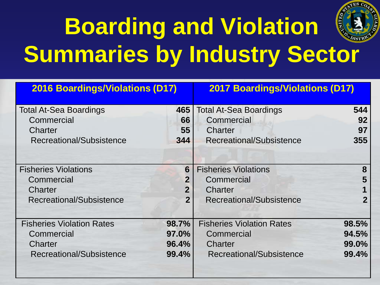

# **Boarding and Violation Summaries by Industry Sector**

| <b>2016 Boardings/Violations (D17)</b> |                | <b>2017 Boardings/Violations (D17)</b> |       |
|----------------------------------------|----------------|----------------------------------------|-------|
| <b>Total At-Sea Boardings</b>          | 465            | <b>Total At-Sea Boardings</b>          | 544   |
| Commercial                             | 66             | Commercial                             | 92    |
| Charter                                | 55             | <b>Charter</b>                         | 97    |
| Recreational/Subsistence               | 344            | Recreational/Subsistence               | 355   |
|                                        |                |                                        |       |
| <b>Fisheries Violations</b>            | 6              | <b>Fisheries Violations</b>            | 8     |
| Commercial                             | $\overline{2}$ | Commercial                             | 5     |
| Charter                                | 2 <sup>1</sup> | Charter                                |       |
| Recreational/Subsistence               | $\overline{2}$ | Recreational/Subsistence               | 2     |
|                                        |                |                                        |       |
| <b>Fisheries Violation Rates</b>       | 98.7%          | <b>Fisheries Violation Rates</b>       | 98.5% |
| Commercial                             | 97.0%          | Commercial                             | 94.5% |
| <b>Charter</b>                         | 96.4%          | Charter                                | 99.0% |
| Recreational/Subsistence               | 99.4%          | Recreational/Subsistence               | 99.4% |
|                                        |                |                                        |       |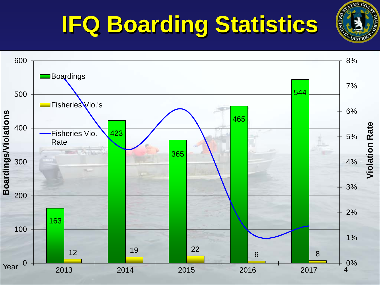

## **IFQ Boarding Statistics**

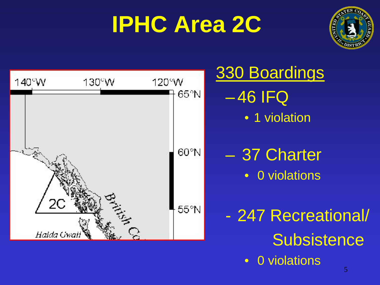### **IPHC Area 2C**



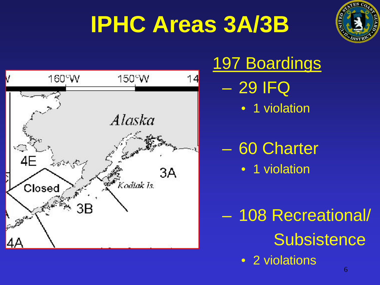## **IPHC Areas 3A/3B**





### 197 Boardings – 29 IFQ • 1 violation

#### – 60 Charter • 1 violation

– 108 Recreational/ **Subsistence** 

• 2 violations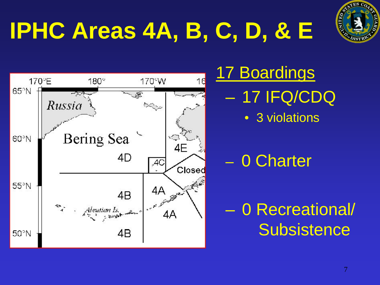



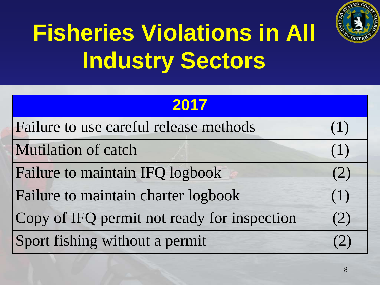

# **Fisheries Violations in All Industry Sectors**

| 2017                                        |     |
|---------------------------------------------|-----|
| Failure to use careful release methods      | (1) |
| Mutilation of catch                         | (1) |
| Failure to maintain IFQ logbook             | (2) |
| Failure to maintain charter logbook         | (1) |
| Copy of IFQ permit not ready for inspection | (2) |
| Sport fishing without a permit              | (2) |